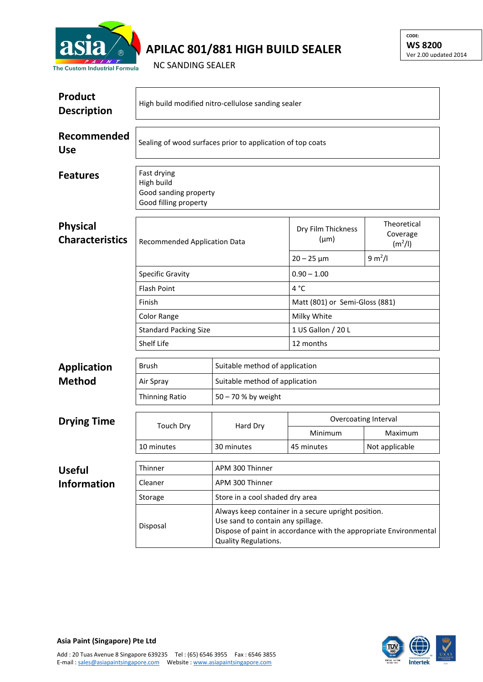

## **APILAC 801/881 HIGH BUILD SEALER**

**CODE: WS 8200** Ver 2.00 updated 2014

NC SANDING SEALER

| <b>Product</b><br><b>Description</b>      | High build modified nitro-cellulose sanding sealer                                                                                                                                                |                                 |                                 |                                                |  |  |
|-------------------------------------------|---------------------------------------------------------------------------------------------------------------------------------------------------------------------------------------------------|---------------------------------|---------------------------------|------------------------------------------------|--|--|
| Recommended<br><b>Use</b>                 | Sealing of wood surfaces prior to application of top coats                                                                                                                                        |                                 |                                 |                                                |  |  |
| <b>Features</b>                           | Fast drying<br>High build<br>Good sanding property<br>Good filling property                                                                                                                       |                                 |                                 |                                                |  |  |
| <b>Physical</b><br><b>Characteristics</b> | Recommended Application Data                                                                                                                                                                      |                                 | Dry Film Thickness<br>$(\mu m)$ | Theoretical<br>Coverage<br>(m <sup>2</sup> /I) |  |  |
|                                           |                                                                                                                                                                                                   |                                 | $20 - 25 \,\mu m$               | 9 m <sup>2</sup> /I                            |  |  |
|                                           | <b>Specific Gravity</b>                                                                                                                                                                           |                                 | $0.90 - 1.00$                   |                                                |  |  |
|                                           | <b>Flash Point</b>                                                                                                                                                                                |                                 | 4 °C                            |                                                |  |  |
|                                           | Finish                                                                                                                                                                                            |                                 | Matt (801) or Semi-Gloss (881)  |                                                |  |  |
|                                           | Color Range                                                                                                                                                                                       |                                 | Milky White                     |                                                |  |  |
|                                           | <b>Standard Packing Size</b>                                                                                                                                                                      |                                 | 1 US Gallon / 20 L              |                                                |  |  |
|                                           | Shelf Life                                                                                                                                                                                        |                                 | 12 months                       |                                                |  |  |
| <b>Application</b>                        | Brush                                                                                                                                                                                             | Suitable method of application  |                                 |                                                |  |  |
| <b>Method</b>                             | Air Spray                                                                                                                                                                                         | Suitable method of application  |                                 |                                                |  |  |
|                                           | <b>Thinning Ratio</b>                                                                                                                                                                             | 50 - 70 % by weight             |                                 |                                                |  |  |
|                                           |                                                                                                                                                                                                   | Hard Dry                        | Overcoating Interval            |                                                |  |  |
| <b>Drying Time</b>                        | <b>Touch Dry</b>                                                                                                                                                                                  |                                 | Minimum                         | Maximum                                        |  |  |
|                                           | 10 minutes                                                                                                                                                                                        | 30 minutes                      | 45 minutes                      | Not applicable                                 |  |  |
| <b>Useful</b>                             | Thinner                                                                                                                                                                                           | APM 300 Thinner                 |                                 |                                                |  |  |
| <b>Information</b>                        | Cleaner                                                                                                                                                                                           | APM 300 Thinner                 |                                 |                                                |  |  |
|                                           | Storage                                                                                                                                                                                           | Store in a cool shaded dry area |                                 |                                                |  |  |
|                                           | Always keep container in a secure upright position.<br>Use sand to contain any spillage.<br>Disposal<br>Dispose of paint in accordance with the appropriate Environmental<br>Quality Regulations. |                                 |                                 |                                                |  |  |